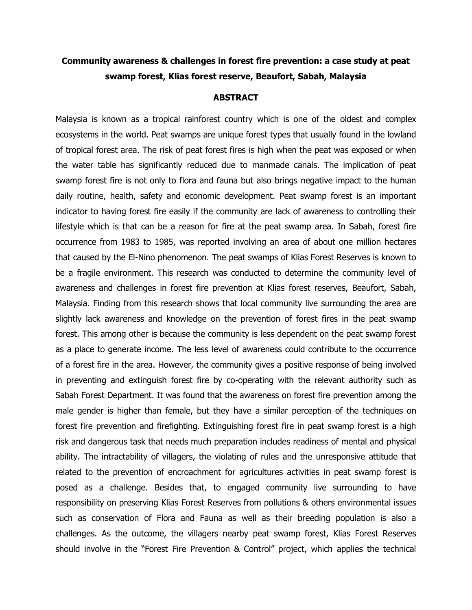## **Community awareness & challenges in forest fire prevention: a case study at peat swamp forest, Klias forest reserve, Beaufort, Sabah, Malaysia**

## **ABSTRACT**

Malaysia is known as a tropical rainforest country which is one of the oldest and complex ecosystems in the world. Peat swamps are unique forest types that usually found in the lowland of tropical forest area. The risk of peat forest fires is high when the peat was exposed or when the water table has significantly reduced due to manmade canals. The implication of peat swamp forest fire is not only to flora and fauna but also brings negative impact to the human daily routine, health, safety and economic development. Peat swamp forest is an important indicator to having forest fire easily if the community are lack of awareness to controlling their lifestyle which is that can be a reason for fire at the peat swamp area. In Sabah, forest fire occurrence from 1983 to 1985, was reported involving an area of about one million hectares that caused by the El-Nino phenomenon. The peat swamps of Klias Forest Reserves is known to be a fragile environment. This research was conducted to determine the community level of awareness and challenges in forest fire prevention at Klias forest reserves, Beaufort, Sabah, Malaysia. Finding from this research shows that local community live surrounding the area are slightly lack awareness and knowledge on the prevention of forest fires in the peat swamp forest. This among other is because the community is less dependent on the peat swamp forest as a place to generate income. The less level of awareness could contribute to the occurrence of a forest fire in the area. However, the community gives a positive response of being involved in preventing and extinguish forest fire by co-operating with the relevant authority such as Sabah Forest Department. It was found that the awareness on forest fire prevention among the male gender is higher than female, but they have a similar perception of the techniques on forest fire prevention and firefighting. Extinguishing forest fire in peat swamp forest is a high risk and dangerous task that needs much preparation includes readiness of mental and physical ability. The intractability of villagers, the violating of rules and the unresponsive attitude that related to the prevention of encroachment for agricultures activities in peat swamp forest is posed as a challenge. Besides that, to engaged community live surrounding to have responsibility on preserving Klias Forest Reserves from pollutions & others environmental issues such as conservation of Flora and Fauna as well as their breeding population is also a challenges. As the outcome, the villagers nearby peat swamp forest, Klias Forest Reserves should involve in the "Forest Fire Prevention & Control" project, which applies the technical